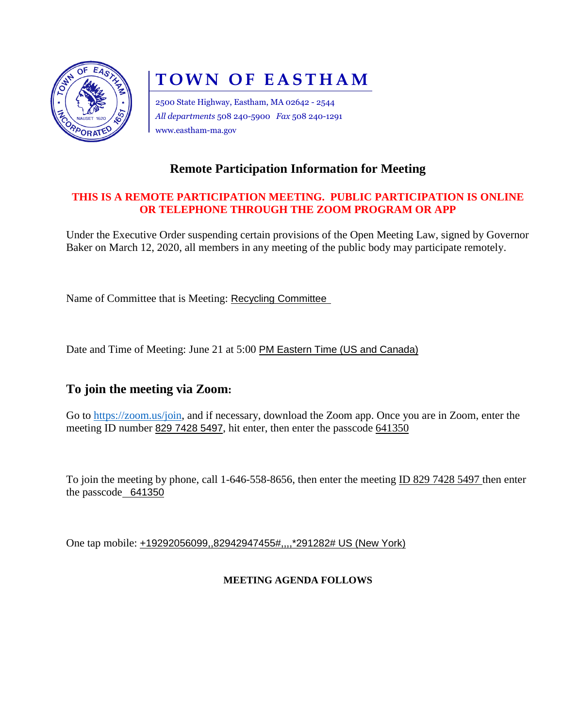

# **TOWN OF EASTHAM**

2500 State Highway, Eastham, MA 02642 - 2544 *All departments* 508 240-5900 *Fax* 508 240-1291 www.eastham-ma.gov

# **Remote Participation Information for Meeting**

#### **THIS IS A REMOTE PARTICIPATION MEETING. PUBLIC PARTICIPATION IS ONLINE OR TELEPHONE THROUGH THE ZOOM PROGRAM OR APP**

Under the Executive Order suspending certain provisions of the Open Meeting Law, signed by Governor Baker on March 12, 2020, all members in any meeting of the public body may participate remotely.

Name of Committee that is Meeting: Recycling Committee

Date and Time of Meeting: June 21 at 5:00 PM Eastern Time (US and Canada)

## **To join the meeting via Zoom:**

Go to [https://zoom.us/join,](https://zoom.us/join) and if necessary, download the Zoom app. Once you are in Zoom, enter the meeting ID number 829 7428 5497, hit enter, then enter the passcode 641350

To join the meeting by phone, call 1-646-558-8656, then enter the meeting ID 829 7428 5497 then enter the passcode 641350

One tap mobile: +19292056099,,82942947455#,,,,\*291282# US (New York)

#### **MEETING AGENDA FOLLOWS**